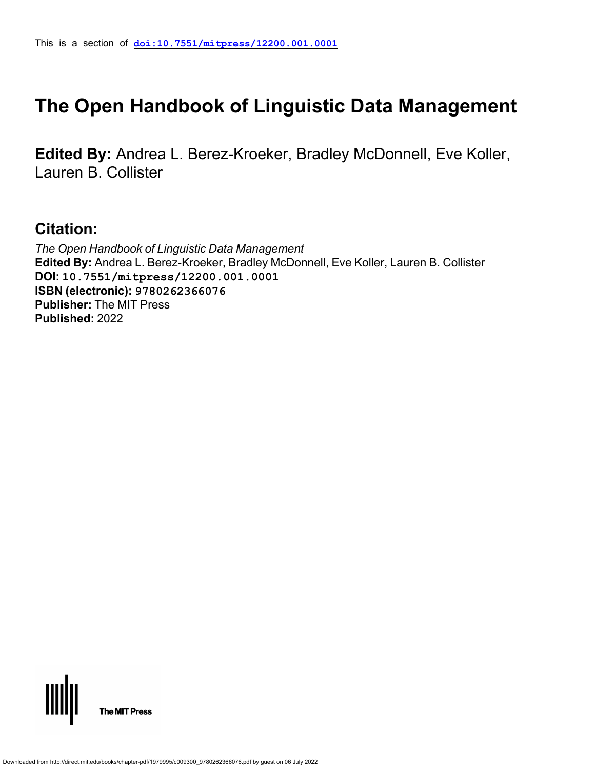# **The Open Handbook of Linguistic Data Management**

**Edited By:** Andrea L. Berez-Kroeker, Bradley McDonnell, Eve Koller, Lauren B. Collister

## **Citation:**

*The Open Handbook of Linguistic Data Management* **Edited By:** Andrea L. Berez-Kroeker, Bradley McDonnell, Eve Koller, Lauren B. Collister **DOI: 10.7551/mitpress/12200.001.0001 ISBN (electronic): 9780262366076 Publisher:** The MIT Press **Published:** 2022



**The MIT Press**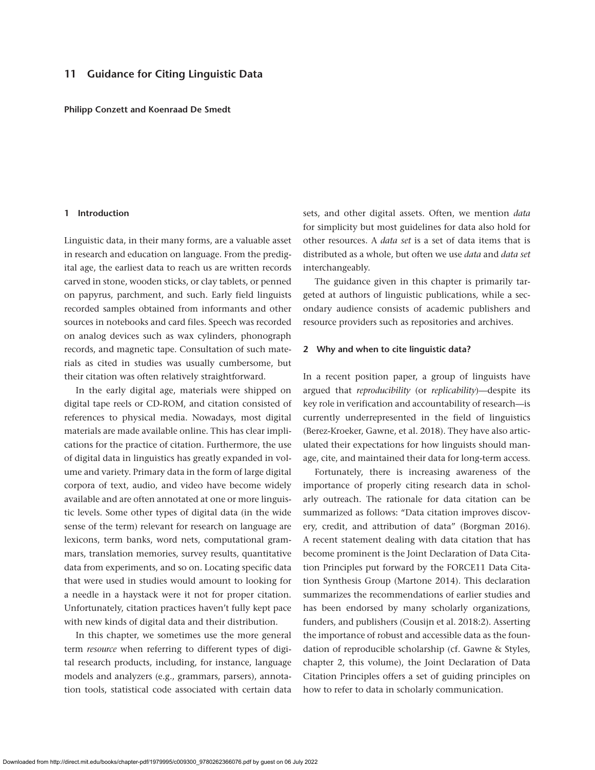## **11 Guidance for Citing Linguistic Data**

**Philipp Conzett and Koenraad De Smedt**

## **1 Introduction**

Linguistic data, in their many forms, are a valuable asset in research and education on language. From the predigital age, the earliest data to reach us are written records carved in stone, wooden sticks, or clay tablets, or penned on papyrus, parchment, and such. Early field linguists recorded samples obtained from informants and other sources in notebooks and card files. Speech was recorded on analog devices such as wax cylinders, phonograph records, and magnetic tape. Consultation of such materials as cited in studies was usually cumbersome, but their citation was often relatively straightforward.

In the early digital age, materials were shipped on digital tape reels or CD-ROM, and citation consisted of references to physical media. Nowadays, most digital materials are made available online. This has clear implications for the practice of citation. Furthermore, the use of digital data in linguistics has greatly expanded in volume and variety. Primary data in the form of large digital corpora of text, audio, and video have become widely available and are often annotated at one or more linguistic levels. Some other types of digital data (in the wide sense of the term) relevant for research on language are lexicons, term banks, word nets, computational grammars, translation memories, survey results, quantitative data from experiments, and so on. Locating specific data that were used in studies would amount to looking for a needle in a haystack were it not for proper citation. Unfortunately, citation practices haven't fully kept pace with new kinds of digital data and their distribution.

In this chapter, we sometimes use the more general term *resource* when referring to different types of digital research products, including, for instance, language models and analyzers (e.g., grammars, parsers), annotation tools, statistical code associated with certain data

sets, and other digital assets. Often, we mention *data* for simplicity but most guidelines for data also hold for other resources. A *data set* is a set of data items that is distributed as a whole, but often we use *data* and *data set* interchangeably.

The guidance given in this chapter is primarily targeted at authors of linguistic publications, while a secondary audience consists of academic publishers and resource providers such as repositories and archives.

## **2 Why and when to cite linguistic data?**

In a recent position paper, a group of linguists have argued that *reproducibility* (or *replicability*)—despite its key role in verification and accountability of research—is currently underrepresented in the field of linguistics (Berez-Kroeker, Gawne, et al. 2018). They have also articulated their expectations for how linguists should manage, cite, and maintained their data for long-term access.

Fortunately, there is increasing awareness of the importance of properly citing research data in scholarly outreach. The rationale for data citation can be summarized as follows: "Data citation improves discovery, credit, and attribution of data" (Borgman 2016). A recent statement dealing with data citation that has become prominent is the Joint Declaration of Data Citation Principles put forward by the FORCE11 Data Citation Synthesis Group (Martone 2014). This declaration summarizes the recommendations of earlier studies and has been endorsed by many scholarly organizations, funders, and publishers (Cousijn et al. 2018:2). Asserting the importance of robust and accessible data as the foundation of reproducible scholarship (cf. Gawne & Styles, chapter 2, this volume), the Joint Declaration of Data Citation Principles offers a set of guiding principles on how to refer to data in scholarly communication.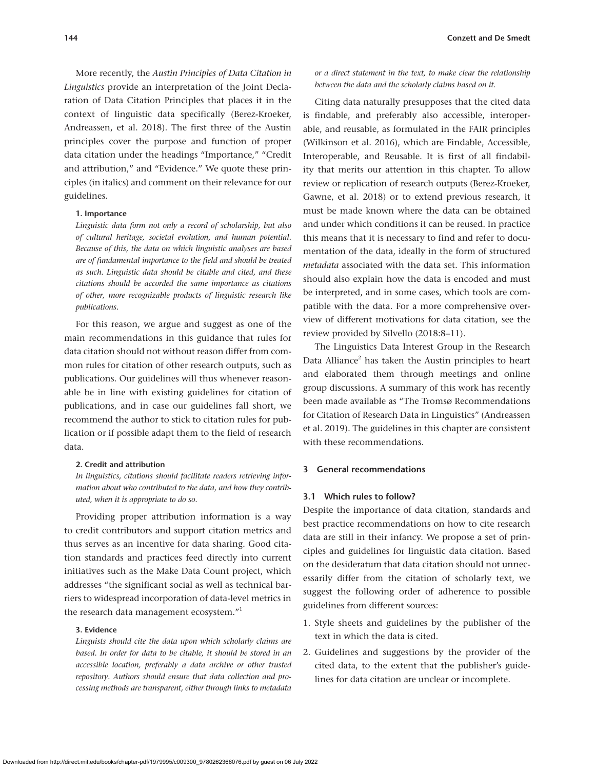More recently, the *Austin Principles of Data Citation in Linguistics* provide an interpretation of the Joint Declaration of Data Citation Principles that places it in the context of linguistic data specifically (Berez-Kroeker, Andreassen, et al. 2018). The first three of the Austin principles cover the purpose and function of proper data citation under the headings "Importance," "Credit and attribution," and "Evidence." We quote these principles (in italics) and comment on their relevance for our guidelines.

## **1. Importance**

*Linguistic data form not only a record of scholarship, but also of cultural heritage, societal evolution, and human potential. Because of this, the data on which linguistic analyses are based are of fundamental importance to the field and should be treated as such. Linguistic data should be citable and cited, and these citations should be accorded the same importance as citations of other, more recognizable products of linguistic research like publications.*

For this reason, we argue and suggest as one of the main recommendations in this guidance that rules for data citation should not without reason differ from common rules for citation of other research outputs, such as publications. Our guidelines will thus whenever reasonable be in line with existing guidelines for citation of publications, and in case our guidelines fall short, we recommend the author to stick to citation rules for publication or if possible adapt them to the field of research data.

#### **2. Credit and attribution**

*In linguistics, citations should facilitate readers retrieving information about who contributed to the data, and how they contributed, when it is appropriate to do so.*

Providing proper attribution information is a way to credit contributors and support citation metrics and thus serves as an incentive for data sharing. Good citation standards and practices feed directly into current initiatives such as the Make Data Count project, which addresses "the significant social as well as technical barriers to widespread incorporation of data-level metrics in the research data management ecosystem."<sup>1</sup>

#### **3. Evidence**

*Linguists should cite the data upon which scholarly claims are based. In order for data to be citable, it should be stored in an accessible location, preferably a data archive or other trusted repository. Authors should ensure that data collection and processing methods are transparent, either through links to metadata* 

*or a direct statement in the text, to make clear the relationship between the data and the scholarly claims based on it.*

Citing data naturally presupposes that the cited data is findable, and preferably also accessible, interoperable, and reusable, as formulated in the FAIR principles (Wilkinson et al. 2016), which are Findable, Accessible, Interoperable, and Reusable. It is first of all findability that merits our attention in this chapter. To allow review or replication of research outputs (Berez-Kroeker, Gawne, et al. 2018) or to extend previous research, it must be made known where the data can be obtained and under which conditions it can be reused. In practice this means that it is necessary to find and refer to documentation of the data, ideally in the form of structured *metadata* associated with the data set. This information should also explain how the data is encoded and must be interpreted, and in some cases, which tools are compatible with the data. For a more comprehensive overview of different motivations for data citation, see the review provided by Silvello (2018:8–11).

The Linguistics Data Interest Group in the Research Data Alliance<sup>2</sup> has taken the Austin principles to heart and elaborated them through meetings and online group discussions. A summary of this work has recently been made available as "The Tromsø Recommendations for Citation of Research Data in Linguistics" (Andreassen et al. 2019). The guidelines in this chapter are consistent with these recommendations.

## **3 General recommendations**

## **3.1 Which rules to follow?**

Despite the importance of data citation, standards and best practice recommendations on how to cite research data are still in their infancy. We propose a set of principles and guidelines for linguistic data citation. Based on the desideratum that data citation should not unnecessarily differ from the citation of scholarly text, we suggest the following order of adherence to possible guidelines from different sources:

- 1. Style sheets and guidelines by the publisher of the text in which the data is cited.
- 2. Guidelines and suggestions by the provider of the cited data, to the extent that the publisher's guidelines for data citation are unclear or incomplete.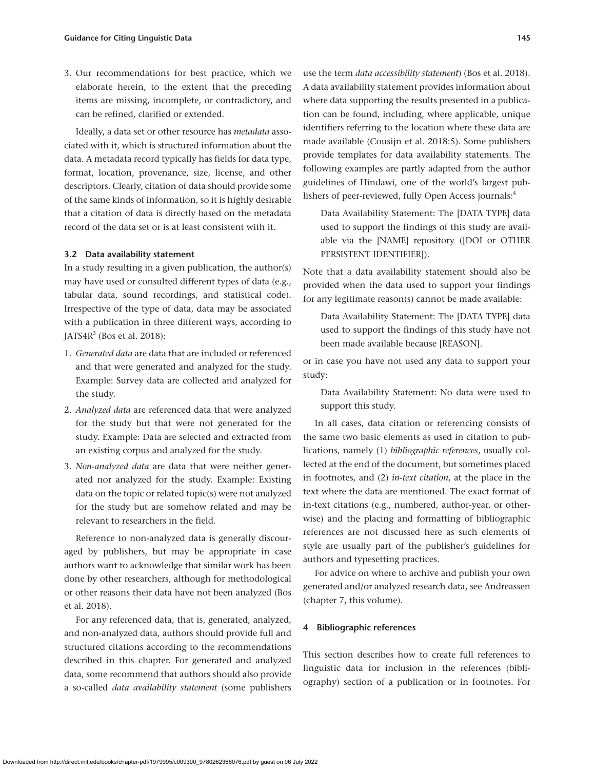3. Our recommendations for best practice, which we elaborate herein, to the extent that the preceding items are missing, incomplete, or contradictory, and can be refined, clarified or extended.

Ideally, a data set or other resource has *metadata* associated with it, which is structured information about the data. A metadata record typically has fields for data type, format, location, provenance, size, license, and other descriptors. Clearly, citation of data should provide some of the same kinds of information, so it is highly desirable that a citation of data is directly based on the metadata record of the data set or is at least consistent with it.

## **3.2 Data availability statement**

In a study resulting in a given publication, the author(s) may have used or consulted different types of data (e.g., tabular data, sound recordings, and statistical code). Irrespective of the type of data, data may be associated with a publication in three different ways, according to JATS $4R^3$  (Bos et al. 2018):

- 1. *Generated data* are data that are included or referenced and that were generated and analyzed for the study. Example: Survey data are collected and analyzed for the study.
- 2. *Analyzed data* are referenced data that were analyzed for the study but that were not generated for the study. Example: Data are selected and extracted from an existing corpus and analyzed for the study.
- 3. *Non-analyzed data* are data that were neither generated nor analyzed for the study. Example: Existing data on the topic or related topic(s) were not analyzed for the study but are somehow related and may be relevant to researchers in the field.

Reference to non-analyzed data is generally discouraged by publishers, but may be appropriate in case authors want to acknowledge that similar work has been done by other researchers, although for methodological or other reasons their data have not been analyzed (Bos et al. 2018).

For any referenced data, that is, generated, analyzed, and non-analyzed data, authors should provide full and structured citations according to the recommendations described in this chapter. For generated and analyzed data, some recommend that authors should also provide a so-called *data availability statement* (some publishers

use the term *data accessibility statement*) (Bos et al. 2018). A data availability statement provides information about where data supporting the results presented in a publication can be found, including, where applicable, unique identifiers referring to the location where these data are made available (Cousijn et al. 2018:5). Some publishers provide templates for data availability statements. The following examples are partly adapted from the author guidelines of Hindawi, one of the world's largest publishers of peer-reviewed, fully Open Access journals:<sup>4</sup>

Data Availability Statement: The [DATA TYPE] data used to support the findings of this study are available via the [NAME] repository ([DOI or OTHER PERSISTENT IDENTIFIER]).

Note that a data availability statement should also be provided when the data used to support your findings for any legitimate reason(s) cannot be made available:

Data Availability Statement: The [DATA TYPE] data used to support the findings of this study have not been made available because [REASON].

or in case you have not used any data to support your study:

Data Availability Statement: No data were used to support this study.

In all cases, data citation or referencing consists of the same two basic elements as used in citation to publications, namely (1) *bibliographic references*, usually collected at the end of the document, but sometimes placed in footnotes, and (2) *in-text citation*, at the place in the text where the data are mentioned. The exact format of in-text citations (e.g., numbered, author-year, or otherwise) and the placing and formatting of bibliographic references are not discussed here as such elements of style are usually part of the publisher's guidelines for authors and typesetting practices.

For advice on where to archive and publish your own generated and/or analyzed research data, see Andreassen (chapter 7, this volume).

## **4 Bibliographic references**

This section describes how to create full references to linguistic data for inclusion in the references (bibliography) section of a publication or in footnotes. For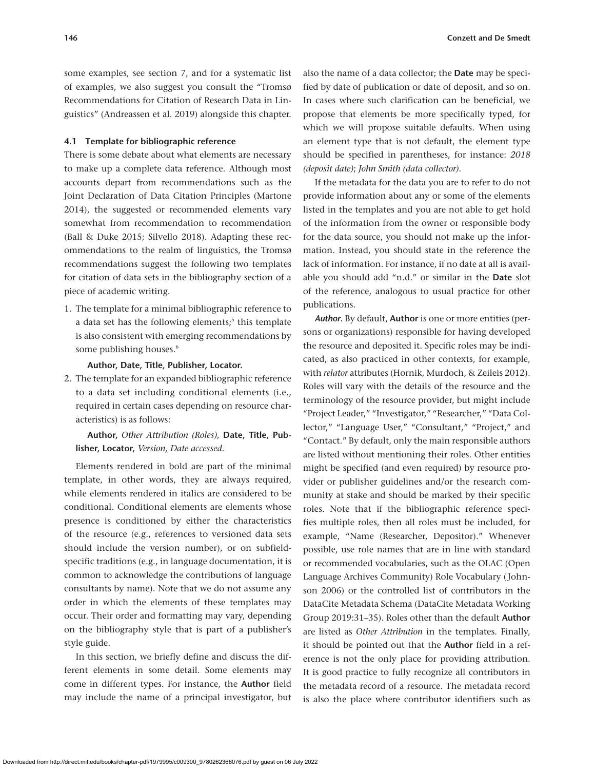some examples, see section 7, and for a systematic list of examples, we also suggest you consult the "Tromsø Recommendations for Citation of Research Data in Linguistics" (Andreassen et al. 2019) alongside this chapter.

## **4.1 Template for bibliographic reference**

There is some debate about what elements are necessary to make up a complete data reference. Although most accounts depart from recommendations such as the Joint Declaration of Data Citation Principles (Martone 2014), the suggested or recommended elements vary somewhat from recommendation to recommendation (Ball & Duke 2015; Silvello 2018). Adapting these recommendations to the realm of linguistics, the Tromsø recommendations suggest the following two templates for citation of data sets in the bibliography section of a piece of academic writing.

1. The template for a minimal bibliographic reference to a data set has the following elements;<sup>5</sup> this template is also consistent with emerging recommendations by some publishing houses.<sup>6</sup>

## **Author, Date, Title, Publisher, Locator.**

2. The template for an expanded bibliographic reference to a data set including conditional elements (i.e., required in certain cases depending on resource characteristics) is as follows:

## **Author,** *Other Attribution (Roles),* **Date, Title, Publisher, Locator,** *Version, Date accessed.*

Elements rendered in bold are part of the minimal template, in other words, they are always required, while elements rendered in italics are considered to be conditional. Conditional elements are elements whose presence is conditioned by either the characteristics of the resource (e.g., references to versioned data sets should include the version number), or on subfieldspecific traditions (e.g., in language documentation, it is common to acknowledge the contributions of language consultants by name). Note that we do not assume any order in which the elements of these templates may occur. Their order and formatting may vary, depending on the bibliography style that is part of a publisher's style guide.

In this section, we briefly define and discuss the different elements in some detail. Some elements may come in different types. For instance, the **Author** field may include the name of a principal investigator, but also the name of a data collector; the **Date** may be specified by date of publication or date of deposit, and so on. In cases where such clarification can be beneficial, we propose that elements be more specifically typed, for which we will propose suitable defaults. When using an element type that is not default, the element type should be specified in parentheses, for instance: *2018 (deposit date)*; *John Smith (data collector).*

If the metadata for the data you are to refer to do not provide information about any or some of the elements listed in the templates and you are not able to get hold of the information from the owner or responsible body for the data source, you should not make up the information. Instead, you should state in the reference the lack of information. For instance, if no date at all is available you should add "n.d." or similar in the **Date** slot of the reference, analogous to usual practice for other publications.

*Author*. By default, **Author** is one or more entities (persons or organizations) responsible for having developed the resource and deposited it. Specific roles may be indicated, as also practiced in other contexts, for example, with *relator* attributes (Hornik, Murdoch, & Zeileis 2012). Roles will vary with the details of the resource and the terminology of the resource provider, but might include "Project Leader," "Investigator," "Researcher," "Data Collector," "Language User," "Consultant," "Project," and "Contact." By default, only the main responsible authors are listed without mentioning their roles. Other entities might be specified (and even required) by resource provider or publisher guidelines and/or the research community at stake and should be marked by their specific roles. Note that if the bibliographic reference specifies multiple roles, then all roles must be included, for example, "Name (Researcher, Depositor)." Whenever possible, use role names that are in line with standard or recommended vocabularies, such as the OLAC (Open Language Archives Community) Role Vocabulary ( Johnson 2006) or the controlled list of contributors in the DataCite Metadata Schema (DataCite Metadata Working Group 2019:31–35). Roles other than the default **Author** are listed as *Other Attribution* in the templates. Finally, it should be pointed out that the **Author** field in a reference is not the only place for providing attribution. It is good practice to fully recognize all contributors in the metadata record of a resource. The metadata record is also the place where contributor identifiers such as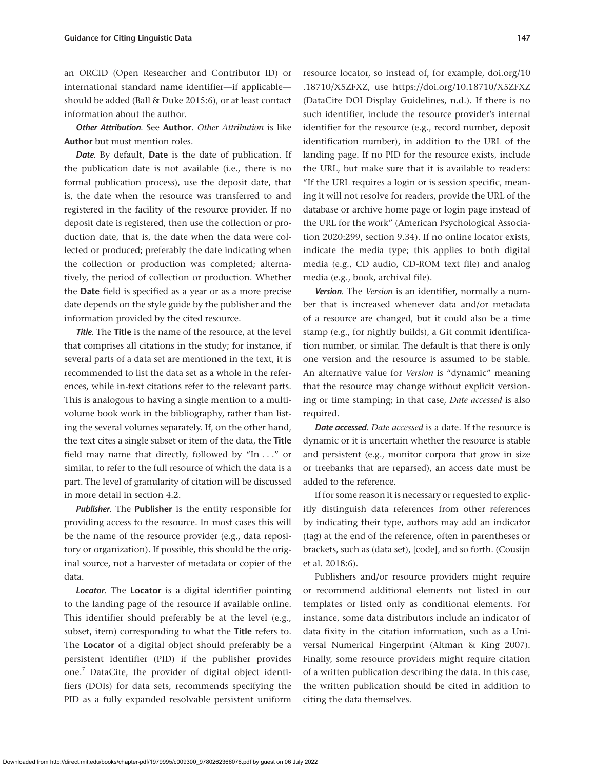an ORCID (Open Researcher and Contributor ID) or international standard name identifier—if applicable should be added (Ball & Duke 2015:6), or at least contact information about the author.

*Other Attribution*. See **Author**. *Other Attribution* is like **Author** but must mention roles.

*Date*. By default, **Date** is the date of publication. If the publication date is not available (i.e., there is no formal publication process), use the deposit date, that is, the date when the resource was transferred to and registered in the facility of the resource provider. If no deposit date is registered, then use the collection or production date, that is, the date when the data were collected or produced; preferably the date indicating when the collection or production was completed; alternatively, the period of collection or production. Whether the **Date** field is specified as a year or as a more precise date depends on the style guide by the publisher and the information provided by the cited resource.

*Title*. The **Title** is the name of the resource, at the level that comprises all citations in the study; for instance, if several parts of a data set are mentioned in the text, it is recommended to list the data set as a whole in the references, while in-text citations refer to the relevant parts. This is analogous to having a single mention to a multivolume book work in the bibliography, rather than listing the several volumes separately. If, on the other hand, the text cites a single subset or item of the data, the **Title** field may name that directly, followed by "In . . ." or similar, to refer to the full resource of which the data is a part. The level of granularity of citation will be discussed in more detail in section 4.2.

*Publisher*. The **Publisher** is the entity responsible for providing access to the resource. In most cases this will be the name of the resource provider (e.g., data repository or organization). If possible, this should be the original source, not a harvester of metadata or copier of the data.

*Locator*. The **Locator** is a digital identifier pointing to the landing page of the resource if available online. This identifier should preferably be at the level (e.g., subset, item) corresponding to what the **Title** refers to. The **Locator** of a digital object should preferably be a persistent identifier (PID) if the publisher provides one.<sup>7</sup> DataCite, the provider of digital object identifiers (DOIs) for data sets, recommends specifying the PID as a fully expanded resolvable persistent uniform

resource locator, so instead of, for example, doi.org/10 .18710/X5ZFXZ, use <https://doi.org/10.18710/X5ZFXZ> (DataCite DOI Display Guidelines, n.d.). If there is no such identifier, include the resource provider's internal identifier for the resource (e.g., record number, deposit identification number), in addition to the URL of the landing page. If no PID for the resource exists, include the URL, but make sure that it is available to readers: "If the URL requires a login or is session specific, meaning it will not resolve for readers, provide the URL of the database or archive home page or login page instead of the URL for the work" (American Psychological Association 2020:299, section 9.34). If no online locator exists, indicate the media type; this applies to both digital media (e.g., CD audio, CD-ROM text file) and analog media (e.g., book, archival file).

*Version*. The *Version* is an identifier, normally a number that is increased whenever data and/or metadata of a resource are changed, but it could also be a time stamp (e.g., for nightly builds), a Git commit identification number, or similar. The default is that there is only one version and the resource is assumed to be stable. An alternative value for *Version* is "dynamic" meaning that the resource may change without explicit versioning or time stamping; in that case, *Date accessed* is also required.

*Date accessed*. *Date accessed* is a date. If the resource is dynamic or it is uncertain whether the resource is stable and persistent (e.g., monitor corpora that grow in size or treebanks that are reparsed), an access date must be added to the reference.

If for some reason it is necessary or requested to explicitly distinguish data references from other references by indicating their type, authors may add an indicator (tag) at the end of the reference, often in parentheses or brackets, such as (data set), [code], and so forth. (Cousijn et al. 2018:6).

Publishers and/or resource providers might require or recommend additional elements not listed in our templates or listed only as conditional elements. For instance, some data distributors include an indicator of data fixity in the citation information, such as a Universal Numerical Fingerprint (Altman & King 2007). Finally, some resource providers might require citation of a written publication describing the data. In this case, the written publication should be cited in addition to citing the data themselves.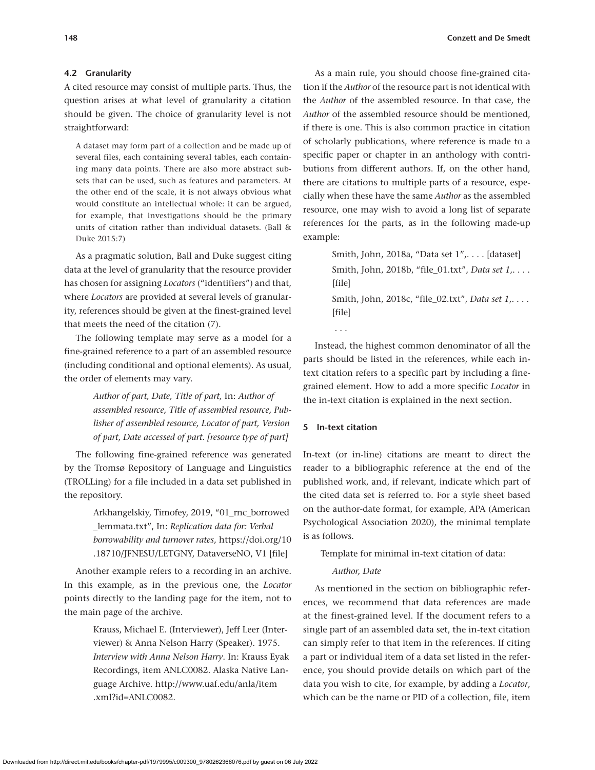## **4.2 Granularity**

A cited resource may consist of multiple parts. Thus, the question arises at what level of granularity a citation should be given. The choice of granularity level is not straightforward:

A dataset may form part of a collection and be made up of several files, each containing several tables, each containing many data points. There are also more abstract subsets that can be used, such as features and parameters. At the other end of the scale, it is not always obvious what would constitute an intellectual whole: it can be argued, for example, that investigations should be the primary units of citation rather than individual datasets. (Ball & Duke 2015:7)

As a pragmatic solution, Ball and Duke suggest citing data at the level of granularity that the resource provider has chosen for assigning *Locators* ("identifiers") and that, where *Locators* are provided at several levels of granularity, references should be given at the finest-grained level that meets the need of the citation (7).

The following template may serve as a model for a fine-grained reference to a part of an assembled resource (including conditional and optional elements). As usual, the order of elements may vary.

> *Author of part, Date, Title of part,* In: *Author of assembled resource, Title of assembled resource, Publisher of assembled resource, Locator of part, Version of part*, *Date accessed of part*. *[resource type of part]*

The following fine-grained reference was generated by the Tromsø Repository of Language and Linguistics (TROLLing) for a file included in a data set published in the repository.

> Arkhangelskiy, Timofey, 2019, "01\_rnc\_borrowed \_lemmata.txt", In: *Replication data for: Verbal borrowability and turnover rates*, [https://doi.org/10](https://doi.org/10.18710/JFNESU/LETGNY) [.18710/JFNESU/LETGNY,](https://doi.org/10.18710/JFNESU/LETGNY) DataverseNO, V1 [file]

Another example refers to a recording in an archive. In this example, as in the previous one, the *Locator* points directly to the landing page for the item, not to the main page of the archive.

> Krauss, Michael E. (Interviewer), Jeff Leer (Interviewer) & Anna Nelson Harry (Speaker). 1975. *Interview with Anna Nelson Harry*. In: Krauss Eyak Recordings, item ANLC0082. Alaska Native Language Archive. [http://www.uaf.edu/anla/item](http://www.uaf.edu/anla/item.xml?id=ANLC0082) [.xml?id=ANLC0082](http://www.uaf.edu/anla/item.xml?id=ANLC0082).

As a main rule, you should choose fine-grained citation if the *Author* of the resource part is not identical with the *Author* of the assembled resource. In that case, the *Author* of the assembled resource should be mentioned, if there is one. This is also common practice in citation of scholarly publications, where reference is made to a specific paper or chapter in an anthology with contributions from different authors. If, on the other hand, there are citations to multiple parts of a resource, especially when these have the same *Author* as the assembled resource, one may wish to avoid a long list of separate references for the parts, as in the following made-up example:

> Smith, John, 2018a, "Data set 1",. . . . [dataset] Smith, John, 2018b, "file\_01.txt", *Data set 1*,. . . . [file] Smith, John, 2018c, "file\_02.txt", *Data set 1*,. . . . [file]

Instead, the highest common denominator of all the parts should be listed in the references, while each intext citation refers to a specific part by including a finegrained element. How to add a more specific *Locator* in the in-text citation is explained in the next section.

## **5 In-text citation**

. . .

In-text (or in-line) citations are meant to direct the reader to a bibliographic reference at the end of the published work, and, if relevant, indicate which part of the cited data set is referred to. For a style sheet based on the author-date format, for example, APA (American Psychological Association 2020), the minimal template is as follows.

Template for minimal in-text citation of data:

## *Author, Date*

As mentioned in the section on bibliographic references, we recommend that data references are made at the finest-grained level. If the document refers to a single part of an assembled data set, the in-text citation can simply refer to that item in the references. If citing a part or individual item of a data set listed in the reference, you should provide details on which part of the data you wish to cite, for example, by adding a *Locator*, which can be the name or PID of a collection, file, item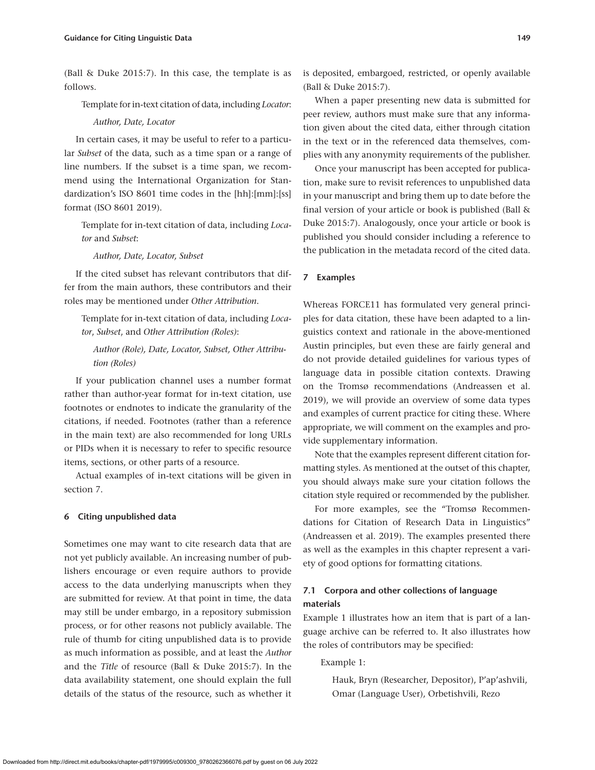(Ball & Duke 2015:7). In this case, the template is as follows.

Template for in-text citation of data, including *Locator*:

## *Author, Date, Locator*

In certain cases, it may be useful to refer to a particular *Subset* of the data, such as a time span or a range of line numbers. If the subset is a time span, we recommend using the International Organization for Standardization's ISO 8601 time codes in the [hh]:[mm]:[ss] format (ISO 8601 2019).

Template for in-text citation of data, including *Locator* and *Subset*:

*Author, Date, Locator, Subset*

If the cited subset has relevant contributors that differ from the main authors, these contributors and their roles may be mentioned under *Other Attribution*.

Template for in-text citation of data, including *Locator*, *Subset*, and *Other Attribution (Roles)*:

## *Author (Role), Date, Locator, Subset, Other Attribution (Roles)*

If your publication channel uses a number format rather than author-year format for in-text citation, use footnotes or endnotes to indicate the granularity of the citations, if needed. Footnotes (rather than a reference in the main text) are also recommended for long URLs or PIDs when it is necessary to refer to specific resource items, sections, or other parts of a resource.

Actual examples of in-text citations will be given in section 7.

#### **6 Citing unpublished data**

Sometimes one may want to cite research data that are not yet publicly available. An increasing number of publishers encourage or even require authors to provide access to the data underlying manuscripts when they are submitted for review. At that point in time, the data may still be under embargo, in a repository submission process, or for other reasons not publicly available. The rule of thumb for citing unpublished data is to provide as much information as possible, and at least the *Author* and the *Title* of resource (Ball & Duke 2015:7). In the data availability statement, one should explain the full details of the status of the resource, such as whether it

is deposited, embargoed, restricted, or openly available (Ball & Duke 2015:7).

When a paper presenting new data is submitted for peer review, authors must make sure that any information given about the cited data, either through citation in the text or in the referenced data themselves, complies with any anonymity requirements of the publisher.

Once your manuscript has been accepted for publication, make sure to revisit references to unpublished data in your manuscript and bring them up to date before the final version of your article or book is published (Ball & Duke 2015:7). Analogously, once your article or book is published you should consider including a reference to the publication in the metadata record of the cited data.

## **7 Examples**

Whereas FORCE11 has formulated very general principles for data citation, these have been adapted to a linguistics context and rationale in the above-mentioned Austin principles, but even these are fairly general and do not provide detailed guidelines for various types of language data in possible citation contexts. Drawing on the Tromsø recommendations (Andreassen et al. 2019), we will provide an overview of some data types and examples of current practice for citing these. Where appropriate, we will comment on the examples and provide supplementary information.

Note that the examples represent different citation formatting styles. As mentioned at the outset of this chapter, you should always make sure your citation follows the citation style required or recommended by the publisher.

For more examples, see the "Tromsø Recommendations for Citation of Research Data in Linguistics" (Andreassen et al. 2019). The examples presented there as well as the examples in this chapter represent a variety of good options for formatting citations.

## **7.1 Corpora and other collections of language materials**

Example 1 illustrates how an item that is part of a language archive can be referred to. It also illustrates how the roles of contributors may be specified:

## Example 1:

Hauk, Bryn (Researcher, Depositor), P'ap'ashvili, Omar (Language User), Orbetishvili, Rezo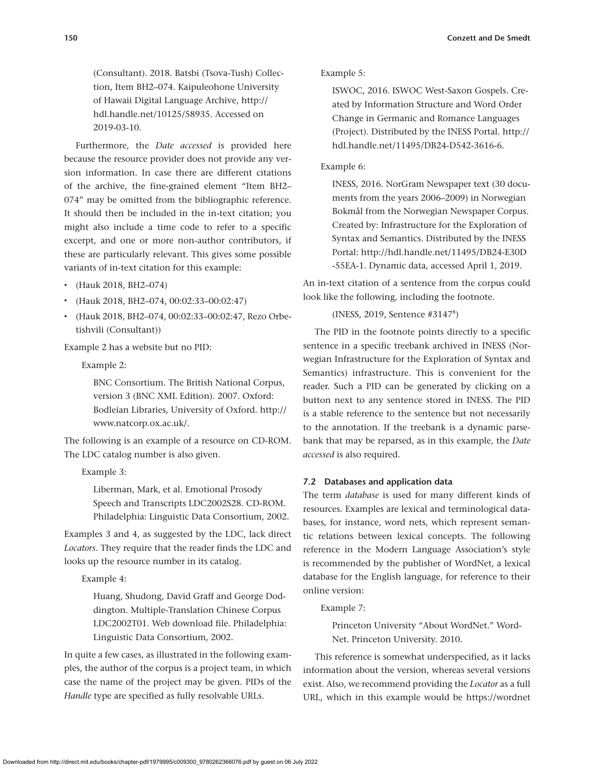(Consultant). 2018. Batsbi (Tsova-Tush) Collection, Item BH2–074. Kaipuleohone University of Hawaii Digital Language Archive, [http://](http://hdl.handle.net/10125/58935) [hdl.handle.net/10125/58935](http://hdl.handle.net/10125/58935). Accessed on 2019-03-10.

Furthermore, the *Date accessed* is provided here because the resource provider does not provide any version information. In case there are different citations of the archive, the fine-grained element "Item BH2– 074" may be omitted from the bibliographic reference. It should then be included in the in-text citation; you might also include a time code to refer to a specific excerpt, and one or more non-author contributors, if these are particularly relevant. This gives some possible variants of in-text citation for this example:

- (Hauk 2018, BH2–074)
- (Hauk 2018, BH2–074, 00:02:33–00:02:47)
- (Hauk 2018, BH2–074, 00:02:33–00:02:47, Rezo Orbetishvili (Consultant))

Example 2 has a website but no PID:

Example 2:

BNC Consortium. The British National Corpus, version 3 (BNC XML Edition). 2007. Oxford: Bodleian Libraries, University of Oxford. [http://](http://www.natcorp.ox.ac.uk/) [www.natcorp.ox.ac.uk/.](http://www.natcorp.ox.ac.uk/)

The following is an example of a resource on CD-ROM. The LDC catalog number is also given.

Example 3:

Liberman, Mark, et al. Emotional Prosody Speech and Transcripts LDC2002S28. CD-ROM. Philadelphia: Linguistic Data Consortium, 2002.

Examples 3 and 4, as suggested by the LDC, lack direct *Locators*. They require that the reader finds the LDC and looks up the resource number in its catalog.

Example 4:

Huang, Shudong, David Graff and George Doddington. Multiple-Translation Chinese Corpus LDC2002T01. Web download file. Philadelphia: Linguistic Data Consortium, 2002.

In quite a few cases, as illustrated in the following examples, the author of the corpus is a project team, in which case the name of the project may be given. PIDs of the *Handle* type are specified as fully resolvable URLs.

Example 5:

ISWOC, 2016. ISWOC West-Saxon Gospels. Created by Information Structure and Word Order Change in Germanic and Romance Languages (Project). Distributed by the INESS Portal. [http://](http://hdl.handle.net/11495/DB24-D542-3616-6) [hdl.handle.net/11495/DB24-D542-3616-6.](http://hdl.handle.net/11495/DB24-D542-3616-6)

## Example 6:

INESS, 2016. NorGram Newspaper text (30 documents from the years 2006–2009) in Norwegian Bokmål from the Norwegian Newspaper Corpus. Created by: Infrastructure for the Exploration of Syntax and Semantics. Distributed by the INESS Portal: [http://hdl.handle.net/11495/DB24-E30D](http://hdl.handle.net/11495/DB24-E30D-55EA-1) [-55EA-1.](http://hdl.handle.net/11495/DB24-E30D-55EA-1) Dynamic data, accessed April 1, 2019.

An in-text citation of a sentence from the corpus could look like the following, including the footnote.

## (INESS, 2019, Sentence #3147<sup>8</sup>)

The PID in the footnote points directly to a specific sentence in a specific treebank archived in INESS (Norwegian Infrastructure for the Exploration of Syntax and Semantics) infrastructure. This is convenient for the reader. Such a PID can be generated by clicking on a button next to any sentence stored in INESS. The PID is a stable reference to the sentence but not necessarily to the annotation. If the treebank is a dynamic parsebank that may be reparsed, as in this example, the *Date accessed* is also required.

## **7.2 Databases and application data**

The term *database* is used for many different kinds of resources. Examples are lexical and terminological databases, for instance, word nets, which represent semantic relations between lexical concepts. The following reference in the Modern Language Association's style is recommended by the publisher of WordNet, a lexical database for the English language, for reference to their online version:

## Example 7:

Princeton University "About WordNet." Word-Net. Princeton University. 2010.

This reference is somewhat underspecified, as it lacks information about the version, whereas several versions exist. Also, we recommend providing the *Locator* as a full URL, which in this example would be [https://wordnet](https://wordnet.princeton.edu/)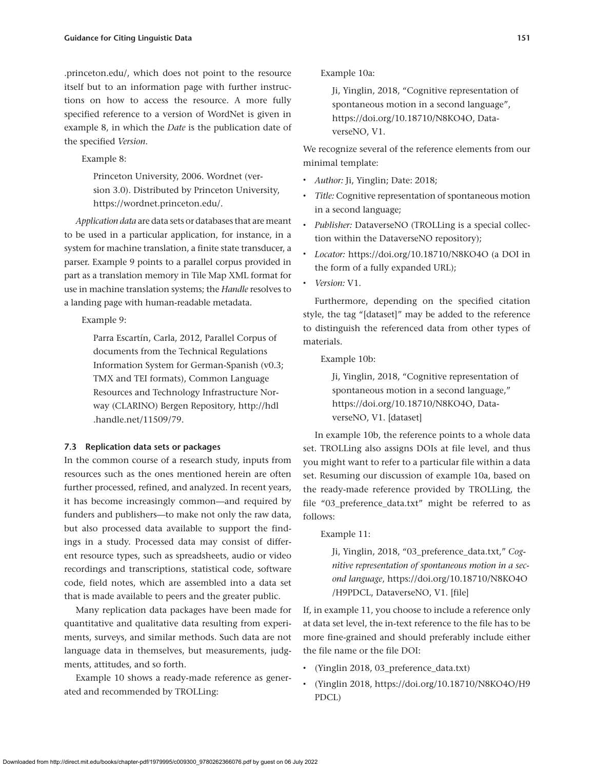[.princeton.edu/,](https://wordnet.princeton.edu/) which does not point to the resource itself but to an information page with further instructions on how to access the resource. A more fully specified reference to a version of WordNet is given in example 8, in which the *Date* is the publication date of the specified *Version*.

Example 8:

Princeton University, 2006. Wordnet (version 3.0). Distributed by Princeton University, [https://wordnet.princeton.edu/.](https://wordnet.princeton.edu/)

*Application data* are data sets or databases that are meant to be used in a particular application, for instance, in a system for machine translation, a finite state transducer, a parser. Example 9 points to a parallel corpus provided in part as a translation memory in Tile Map XML format for use in machine translation systems; the *Handle* resolves to a landing page with human-readable metadata.

Example 9:

Parra Escartín, Carla, 2012, Parallel Corpus of documents from the Technical Regulations Information System for German-Spanish (v0.3; TMX and TEI formats), Common Language Resources and Technology Infrastructure Norway (CLARINO) Bergen Repository, [http://hdl](http://hdl.handle.net/11509/79) [.handle.net/11509/79.](http://hdl.handle.net/11509/79)

## **7.3 Replication data sets or packages**

In the common course of a research study, inputs from resources such as the ones mentioned herein are often further processed, refined, and analyzed. In recent years, it has become increasingly common—and required by funders and publishers—to make not only the raw data, but also processed data available to support the findings in a study. Processed data may consist of different resource types, such as spreadsheets, audio or video recordings and transcriptions, statistical code, software code, field notes, which are assembled into a data set that is made available to peers and the greater public.

Many replication data packages have been made for quantitative and qualitative data resulting from experiments, surveys, and similar methods. Such data are not language data in themselves, but measurements, judgments, attitudes, and so forth.

Example 10 shows a ready-made reference as generated and recommended by TROLLing:

Example 10a:

Ji, Yinglin, 2018, "Cognitive representation of spontaneous motion in a second language", <https://doi.org/10.18710/N8KO4O>, DataverseNO, V1.

We recognize several of the reference elements from our minimal template:

- *Author:* Ji, Yinglin; Date: 2018;
- *Title:* Cognitive representation of spontaneous motion in a second language;
- *Publisher:* DataverseNO (TROLLing is a special collection within the DataverseNO repository);
- *Locator:* <https://doi.org/10.18710/N8KO4O>(a DOI in the form of a fully expanded URL);
- *Version:* V1.

Furthermore, depending on the specified citation style, the tag "[dataset]" may be added to the reference to distinguish the referenced data from other types of materials.

Example 10b:

Ji, Yinglin, 2018, "Cognitive representation of spontaneous motion in a second language," <https://doi.org/10.18710/N8KO4O>, DataverseNO, V1. [dataset]

In example 10b, the reference points to a whole data set. TROLLing also assigns DOIs at file level, and thus you might want to refer to a particular file within a data set. Resuming our discussion of example 10a, based on the ready-made reference provided by TROLLing, the file "03\_preference\_data.txt" might be referred to as follows:

Example 11:

Ji, Yinglin, 2018, "03\_preference\_data.txt," *Cognitive representation of spontaneous motion in a second language*, [https://doi.org/10.18710/N8KO4O](https://doi.org/10.18710/N8KO4O/H9PDCL) [/H9PDCL,](https://doi.org/10.18710/N8KO4O/H9PDCL) DataverseNO, V1. [file]

If, in example 11, you choose to include a reference only at data set level, the in-text reference to the file has to be more fine-grained and should preferably include either the file name or the file DOI:

- (Yinglin 2018, 03\_preference\_data.txt)
- (Yinglin 2018, [https://doi.org/10.18710/N8KO4O/H9](https://doi.org/10.18710/N8KO4O/H9PDCL) [PDCL](https://doi.org/10.18710/N8KO4O/H9PDCL))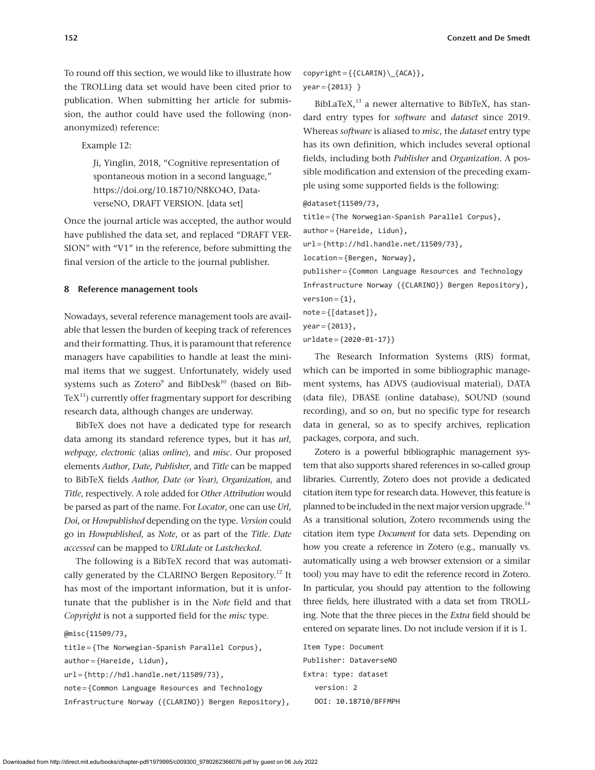To round off this section, we would like to illustrate how the TROLLing data set would have been cited prior to publication. When submitting her article for submission, the author could have used the following (nonanonymized) reference:

Example 12:

Ji, Yinglin, 2018, "Cognitive representation of spontaneous motion in a second language," <https://doi.org/10.18710/N8KO4O>, DataverseNO, DRAFT VERSION. [data set]

Once the journal article was accepted, the author would have published the data set, and replaced "DRAFT VER-SION" with "V1" in the reference, before submitting the final version of the article to the journal publisher.

#### **8 Reference management tools**

Nowadays, several reference management tools are available that lessen the burden of keeping track of references and their formatting. Thus, it is paramount that reference managers have capabilities to handle at least the minimal items that we suggest. Unfortunately, widely used systems such as Zotero $^9$  and Bib ${\rm Desk}^{10}$  (based on Bib- $TeX<sup>11</sup>$ ) currently offer fragmentary support for describing research data, although changes are underway.

BibTeX does not have a dedicated type for research data among its standard reference types, but it has *url, webpage, electronic* (alias *online*), and *misc*. Our proposed elements *Author*, *Date, Publisher*, and *Title* can be mapped to BibTeX fields *Author, Date (or Year), Organization*, and *Title*, respectively. A role added for *Other Attribution* would be parsed as part of the name. For *Locator*, one can use *Url, Doi*, or *Howpublished* depending on the type. *Version* could go in *Howpublished*, as *Note*, or as part of the *Title*. *Date accessed* can be mapped to *URLdate* or *Lastchecked*.

The following is a BibTeX record that was automatically generated by the CLARINO Bergen Repository.12 It has most of the important information, but it is unfortunate that the publisher is in the *Note* field and that *Copyright* is not a supported field for the *misc* type.

## @misc{11509/73,

title = {The Norwegian-Spanish Parallel Corpus}, author = {Hareide, Lidun},  $url = \{http://hdl.handle.net/11509/73\},$  $url = \{http://hdl.handle.net/11509/73\},$  $url = \{http://hdl.handle.net/11509/73\},$ note = {Common Language Resources and Technology

Infrastructure Norway ({CLARINO}) Bergen Repository},

copyright = {{CLARIN}\\_{ACA}}, year = {2013} }

BibLaTeX, $^{13}$  a newer alternative to BibTeX, has standard entry types for *software* and *dataset* since 2019. Whereas *software* is aliased to *misc*, the *dataset* entry type has its own definition, which includes several optional fields, including both *Publisher* and *Organization*. A possible modification and extension of the preceding example using some supported fields is the following:

```
@dataset{11509/73,
```
title = {The Norwegian-Spanish Parallel Corpus}, author = {Hareide, Lidun}, url = {<http://hdl.handle.net/11509/73>}, location = {Bergen, Norway}, publisher = {Common Language Resources and Technology Infrastructure Norway ({CLARINO}) Bergen Repository},  $version = {1},$  $note = \{\texttt{[dataset]}\},\$ year = {2013}, urldate = {2020-01-17}}

The Research Information Systems (RIS) format, which can be imported in some bibliographic management systems, has ADVS (audiovisual material), DATA (data file), DBASE (online database), SOUND (sound recording), and so on, but no specific type for research data in general, so as to specify archives, replication packages, corpora, and such.

Zotero is a powerful bibliographic management system that also supports shared references in so-called group libraries. Currently, Zotero does not provide a dedicated citation item type for research data. However, this feature is planned to be included in the next major version upgrade.<sup>14</sup> As a transitional solution, Zotero recommends using the citation item type *Document* for data sets. Depending on how you create a reference in Zotero (e.g., manually vs. automatically using a web browser extension or a similar tool) you may have to edit the reference record in Zotero. In particular, you should pay attention to the following three fields, here illustrated with a data set from TROLLing. Note that the three pieces in the *Extra* field should be entered on separate lines. Do not include version if it is 1.

Item Type: Document Publisher: DataverseNO Extra: type: dataset version: 2 DOI: 10.18710/BFFMPH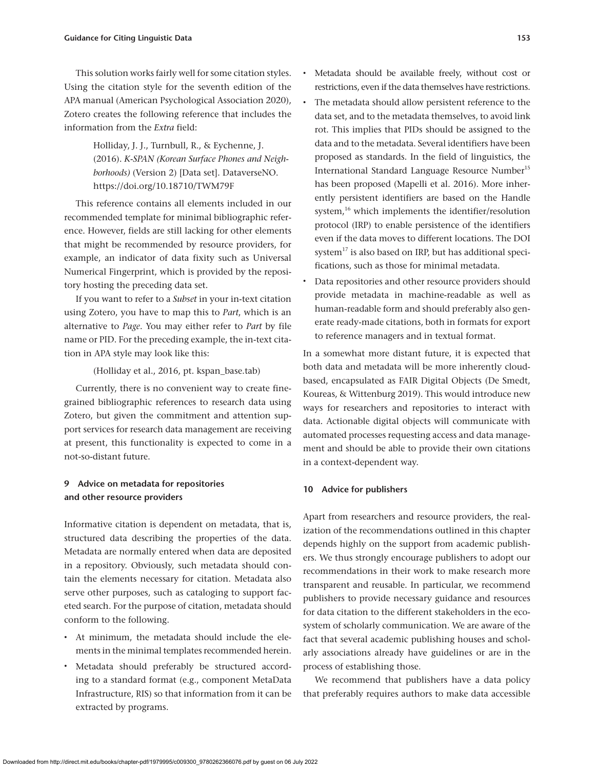This solution works fairly well for some citation styles. Using the citation style for the seventh edition of the APA manual (American Psychological Association 2020), Zotero creates the following reference that includes the information from the *Extra* field:

> Holliday, J. J., Turnbull, R., & Eychenne, J. (2016). *K-SPAN (Korean Surface Phones and Neighborhoods)* (Version 2) [Data set]. DataverseNO. <https://doi.org/10.18710/TWM79F>

This reference contains all elements included in our recommended template for minimal bibliographic reference. However, fields are still lacking for other elements that might be recommended by resource providers, for example, an indicator of data fixity such as Universal Numerical Fingerprint, which is provided by the repository hosting the preceding data set.

If you want to refer to a *Subset* in your in-text citation using Zotero, you have to map this to *Part*, which is an alternative to *Page*. You may either refer to *Part* by file name or PID. For the preceding example, the in-text citation in APA style may look like this:

(Holliday et al., 2016, pt. kspan\_base.tab)

Currently, there is no convenient way to create finegrained bibliographic references to research data using Zotero, but given the commitment and attention support services for research data management are receiving at present, this functionality is expected to come in a not-so-distant future.

## **9 Advice on metadata for repositories and other resource providers**

Informative citation is dependent on metadata, that is, structured data describing the properties of the data. Metadata are normally entered when data are deposited in a repository. Obviously, such metadata should contain the elements necessary for citation. Metadata also serve other purposes, such as cataloging to support faceted search. For the purpose of citation, metadata should conform to the following.

- At minimum, the metadata should include the elements in the minimal templates recommended herein.
- Metadata should preferably be structured according to a standard format (e.g., component MetaData Infrastructure, RIS) so that information from it can be extracted by programs.
- Metadata should be available freely, without cost or restrictions, even if the data themselves have restrictions.
- The metadata should allow persistent reference to the data set, and to the metadata themselves, to avoid link rot. This implies that PIDs should be assigned to the data and to the metadata. Several identifiers have been proposed as standards. In the field of linguistics, the International Standard Language Resource Number<sup>15</sup> has been proposed (Mapelli et al. 2016). More inherently persistent identifiers are based on the Handle system,<sup>16</sup> which implements the identifier/resolution protocol (IRP) to enable persistence of the identifiers even if the data moves to different locations. The DOI system<sup>17</sup> is also based on IRP, but has additional specifications, such as those for minimal metadata.
- Data repositories and other resource providers should provide metadata in machine-readable as well as human-readable form and should preferably also generate ready-made citations, both in formats for export to reference managers and in textual format.

In a somewhat more distant future, it is expected that both data and metadata will be more inherently cloudbased, encapsulated as FAIR Digital Objects (De Smedt, Koureas, & Wittenburg 2019). This would introduce new ways for researchers and repositories to interact with data. Actionable digital objects will communicate with automated processes requesting access and data management and should be able to provide their own citations in a context-dependent way.

#### **10 Advice for publishers**

Apart from researchers and resource providers, the realization of the recommendations outlined in this chapter depends highly on the support from academic publishers. We thus strongly encourage publishers to adopt our recommendations in their work to make research more transparent and reusable. In particular, we recommend publishers to provide necessary guidance and resources for data citation to the different stakeholders in the ecosystem of scholarly communication. We are aware of the fact that several academic publishing houses and scholarly associations already have guidelines or are in the process of establishing those.

We recommend that publishers have a data policy that preferably requires authors to make data accessible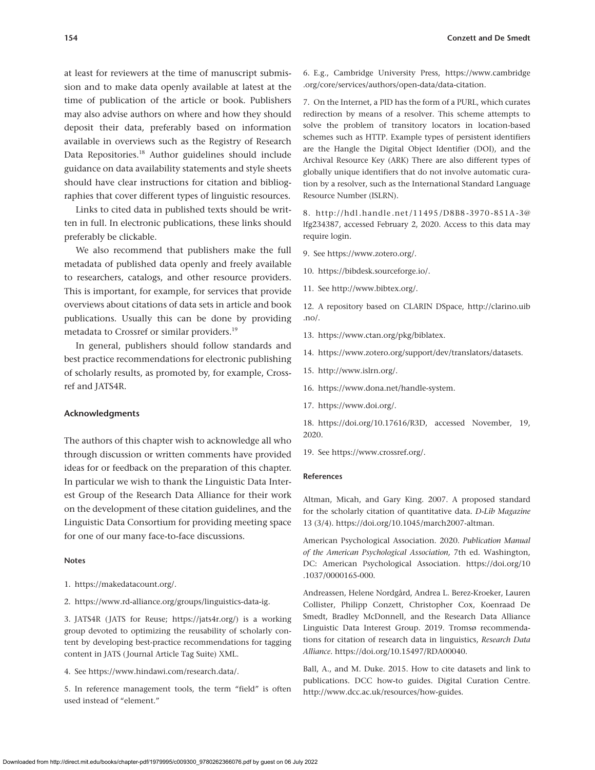at least for reviewers at the time of manuscript submission and to make data openly available at latest at the time of publication of the article or book. Publishers may also advise authors on where and how they should deposit their data, preferably based on information available in overviews such as the Registry of Research Data Repositories.<sup>18</sup> Author guidelines should include guidance on data availability statements and style sheets should have clear instructions for citation and bibliographies that cover different types of linguistic resources.

Links to cited data in published texts should be written in full. In electronic publications, these links should preferably be clickable.

We also recommend that publishers make the full metadata of published data openly and freely available to researchers, catalogs, and other resource providers. This is important, for example, for services that provide overviews about citations of data sets in article and book publications. Usually this can be done by providing metadata to Crossref or similar providers.<sup>19</sup>

In general, publishers should follow standards and best practice recommendations for electronic publishing of scholarly results, as promoted by, for example, Crossref and JATS4R.

## **Acknowledgments**

The authors of this chapter wish to acknowledge all who through discussion or written comments have provided ideas for or feedback on the preparation of this chapter. In particular we wish to thank the Linguistic Data Interest Group of the Research Data Alliance for their work on the development of these citation guidelines, and the Linguistic Data Consortium for providing meeting space for one of our many face-to-face discussions.

## **Notes**

- 1. <https://makedatacount.org/>.
- 2. [https://www.rd-alliance.org/groups/linguistics-data-ig.](https://www.rd-alliance.org/groups/linguistics-data-ig)

3. JATS4R ( JATS for Reuse; [https://jats4r.org/\)](https://jats4r.org/) is a working group devoted to optimizing the reusability of scholarly content by developing best-practice recommendations for tagging content in JATS ( Journal Article Tag Suite) XML.

4. See [https://www.hindawi.com/research.data/.](https://www.hindawi.com/research.data/)

5. In reference management tools, the term "field" is often used instead of "element."

6. E.g., Cambridge University Press, [https://www.cambridge](https://www.cambridge.org/core/services/authors/open-data/data-citation) [.org/core/services/authors/open-data/data-citation](https://www.cambridge.org/core/services/authors/open-data/data-citation).

7. On the Internet, a PID has the form of a PURL, which curates redirection by means of a resolver. This scheme attempts to solve the problem of transitory locators in location-based schemes such as HTTP. Example types of persistent identifiers are the Hangle the Digital Object Identifier (DOI), and the Archival Resource Key (ARK) There are also different types of globally unique identifiers that do not involve automatic curation by a resolver, such as the International Standard Language Resource Number (ISLRN).

8. http://hdl .handle [.net/11495](http://hdl.handle.net/11495/D8B8-3970-851A-3@lfg234387) /D8B8 -3970 -851A -3@ [lfg234387,](http://hdl.handle.net/11495/D8B8-3970-851A-3@lfg234387) accessed February 2, 2020. Access to this data may require login.

- 9. See [https://www.zotero.org/.](https://www.zotero.org/)
- 10. [https://bibdesk.sourceforge.io/.](https://bibdesk.sourceforge.io/)
- 11. See <http://www.bibtex.org/>.

12. A repository based on CLARIN DSpace, [http://clarino.uib](http://clarino.uib.no/) [.no/](http://clarino.uib.no/).

- 13. <https://www.ctan.org/pkg/biblatex>.
- 14. <https://www.zotero.org/support/dev/translators/datasets>.
- 15. <http://www.islrn.org/>.
- 16. [https://www.dona.net/handle-system.](https://www.dona.net/handle-system)
- 17. [https://www.doi.org/.](https://www.doi.org/)

18. [https://doi.org/10.17616/R3D,](https://doi.org/10.17616/R3D) accessed November, 19, 2020.

19. See [https://www.crossref.org/.](https://www.crossref.org/)

#### **References**

Altman, Micah, and Gary King. 2007. A proposed standard for the scholarly citation of quantitative data. *D-Lib Magazine* 13 (3/4). [https://doi.org/10.1045/march2007-altman.](https://doi.org/10.1045/march2007-altman)

American Psychological Association. 2020. *Publication Manual of the American Psychological Association,* 7th ed. Washington, DC: American Psychological Association. [https://doi.org/10](https://doi.org/10.1037/0000165-000) [.1037/0000165-000](https://doi.org/10.1037/0000165-000).

Andreassen, Helene Nordgård, Andrea L. Berez-Kroeker, Lauren Collister, Philipp Conzett, Christopher Cox, Koenraad De Smedt, Bradley McDonnell, and the Research Data Alliance Linguistic Data Interest Group. 2019. Tromsø recommendations for citation of research data in linguistics, *Research Data Alliance*. [https://doi.org/10.15497/RDA00040.](https://doi.org/10.15497/RDA00040)

Ball, A., and M. Duke. 2015. How to cite datasets and link to publications. DCC how-to guides. Digital Curation Centre. [http://www.dcc.ac.uk/resources/how-guides.](http://www.dcc.ac.uk/resources/how-guides)